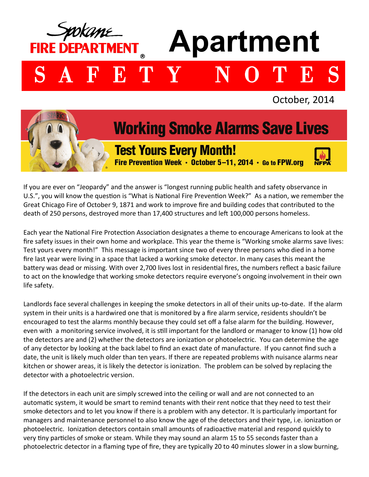

If you are ever on "Jeopardy" and the answer is "longest running public health and safety observance in U.S.", you will know the question is "What is National Fire Prevention Week?" As a nation, we remember the Great Chicago Fire of October 9, 1871 and work to improve fire and building codes that contributed to the death of 250 persons, destroyed more than 17,400 structures and left 100,000 persons homeless.

Each year the National Fire Protection Association designates a theme to encourage Americans to look at the fire safety issues in their own home and workplace. This year the theme is "Working smoke alarms save lives: Test yours every month!" This message is important since two of every three persons who died in a home fire last year were living in a space that lacked a working smoke detector. In many cases this meant the battery was dead or missing. With over 2,700 lives lost in residential fires, the numbers reflect a basic failure to act on the knowledge that working smoke detectors require everyone's ongoing involvement in their own life safety.

Landlords face several challenges in keeping the smoke detectors in all of their units up-to-date. If the alarm system in their units is a hardwired one that is monitored by a fire alarm service, residents shouldn't be encouraged to test the alarms monthly because they could set off a false alarm for the building. However, even with a monitoring service involved, it is still important for the landlord or manager to know (1) how old the detectors are and (2) whether the detectors are ionization or photoelectric. You can determine the age of any detector by looking at the back label to find an exact date of manufacture. If you cannot find such a date, the unit is likely much older than ten years. If there are repeated problems with nuisance alarms near kitchen or shower areas, it is likely the detector is ionization. The problem can be solved by replacing the detector with a photoelectric version.

If the detectors in each unit are simply screwed into the ceiling or wall and are not connected to an automatic system, it would be smart to remind tenants with their rent notice that they need to test their smoke detectors and to let you know if there is a problem with any detector. It is particularly important for managers and maintenance personnel to also know the age of the detectors and their type, i.e. ionization or photoelectric. Ionization detectors contain small amounts of radioactive material and respond quickly to very tiny particles of smoke or steam. While they may sound an alarm 15 to 55 seconds faster than a photoelectric detector in a flaming type of fire, they are typically 20 to 40 minutes slower in a slow burning,